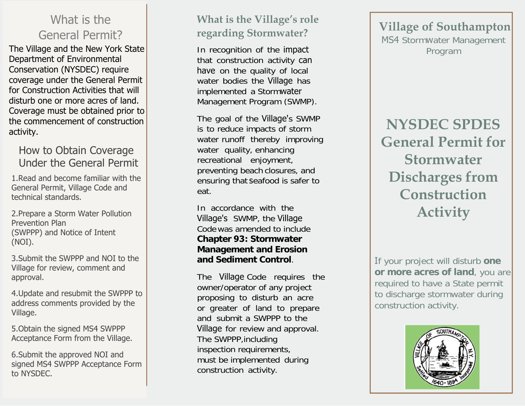## What is the General Permit?

The Village and the New York State Department of Environmental Conservation (NYSDEC) require coverage under the General Permit for Construction Activities that will disturb one or more acres of land. Coverage must be obtained prior to the commencement of construction activity.

#### How to Obtain Coverage Under the General Permit

1.Read and become familiar with the General Permit, Village Code andtechnical standards.

2.Prepare a Storm Water PollutionPrevention Plan (SWPPP) and Notice of Intent(NOI).

3.Submit the SWPPP and NOI to the Village for review, comment andapproval.

4.Update and resubmit the SWPPP toaddress comments provided by theVillage.

5.Obtain the signed MS4 SWPPPAcceptance Form from the Village.

6.Submit the approved NOI andsigned MS4 SWPPP Acceptance Form to NYSDEC.

## **What is the Village's role regarding Stormwater?**

In recognition of the impact that construction activity can have on the quality of local water bodies the Village has implemented a Stormwater Management Program (SWMP).

The goal of the Village's SWMP is to reduce impacts of storm water runoff thereby improving water quality, enhancing recreational enjoyment, preventing beach closures, and ensuring that seafood is safer to eat.

In accordance with the Village's SWMP, the Village Code was amended to include **Chapter <sup>93</sup>: Stormwater Management and Erosion and Sediment Control**.

The Village Code requires the owner/operator of any project proposing to disturb an acre or greater of land to prepare and submit a SWPPP to the Village for review and approval.<br>The SWPPP including The SWPPP,including inspection requirements, must be implemented during construction activity.

**Village ofSouthampton** MS4 Stormwater Management Program

**NYSDEC SPDES General Permit for Stormwater Discharges from Construction Activity**

If your project will disturb **one or more acres of land**, you are required to have a State permit to discharge stormwater during construction activity.